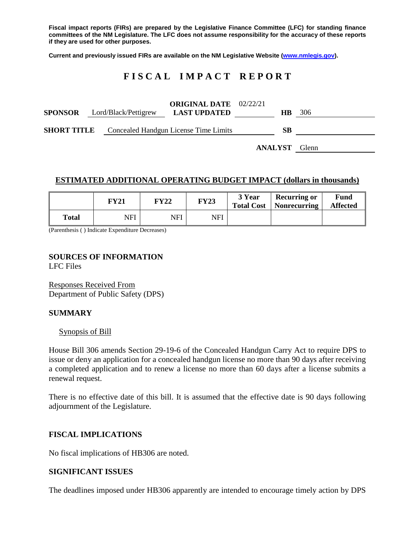**Fiscal impact reports (FIRs) are prepared by the Legislative Finance Committee (LFC) for standing finance committees of the NM Legislature. The LFC does not assume responsibility for the accuracy of these reports if they are used for other purposes.**

**Current and previously issued FIRs are available on the NM Legislative Website [\(www.nmlegis.gov\)](http://www.nmlegis.gov/).**

# **F I S C A L I M P A C T R E P O R T**

| <b>SPONSOR</b> Lord/Black/Pettigrew | <b>ORIGINAL DATE</b> 02/22/21<br><b>LAST UPDATED</b>     | HB.            | 306   |
|-------------------------------------|----------------------------------------------------------|----------------|-------|
|                                     | <b>SHORT TITLE</b> Concealed Handgun License Time Limits |                |       |
|                                     |                                                          | <b>ANALYST</b> | Glenn |

### **ESTIMATED ADDITIONAL OPERATING BUDGET IMPACT (dollars in thousands)**

|              | FY21 | <b>FY22</b> | <b>FY23</b> | 3 Year<br><b>Total Cost</b> | <b>Recurring or</b><br>Nonrecurring | <b>Fund</b><br><b>Affected</b> |
|--------------|------|-------------|-------------|-----------------------------|-------------------------------------|--------------------------------|
| <b>Total</b> | NFI  | NFI         | NFI         |                             |                                     |                                |

(Parenthesis ( ) Indicate Expenditure Decreases)

## **SOURCES OF INFORMATION**

LFC Files

Responses Received From Department of Public Safety (DPS)

#### **SUMMARY**

#### Synopsis of Bill

House Bill 306 amends Section 29-19-6 of the Concealed Handgun Carry Act to require DPS to issue or deny an application for a concealed handgun license no more than 90 days after receiving a completed application and to renew a license no more than 60 days after a license submits a renewal request.

There is no effective date of this bill. It is assumed that the effective date is 90 days following adjournment of the Legislature.

## **FISCAL IMPLICATIONS**

No fiscal implications of HB306 are noted.

#### **SIGNIFICANT ISSUES**

The deadlines imposed under HB306 apparently are intended to encourage timely action by DPS